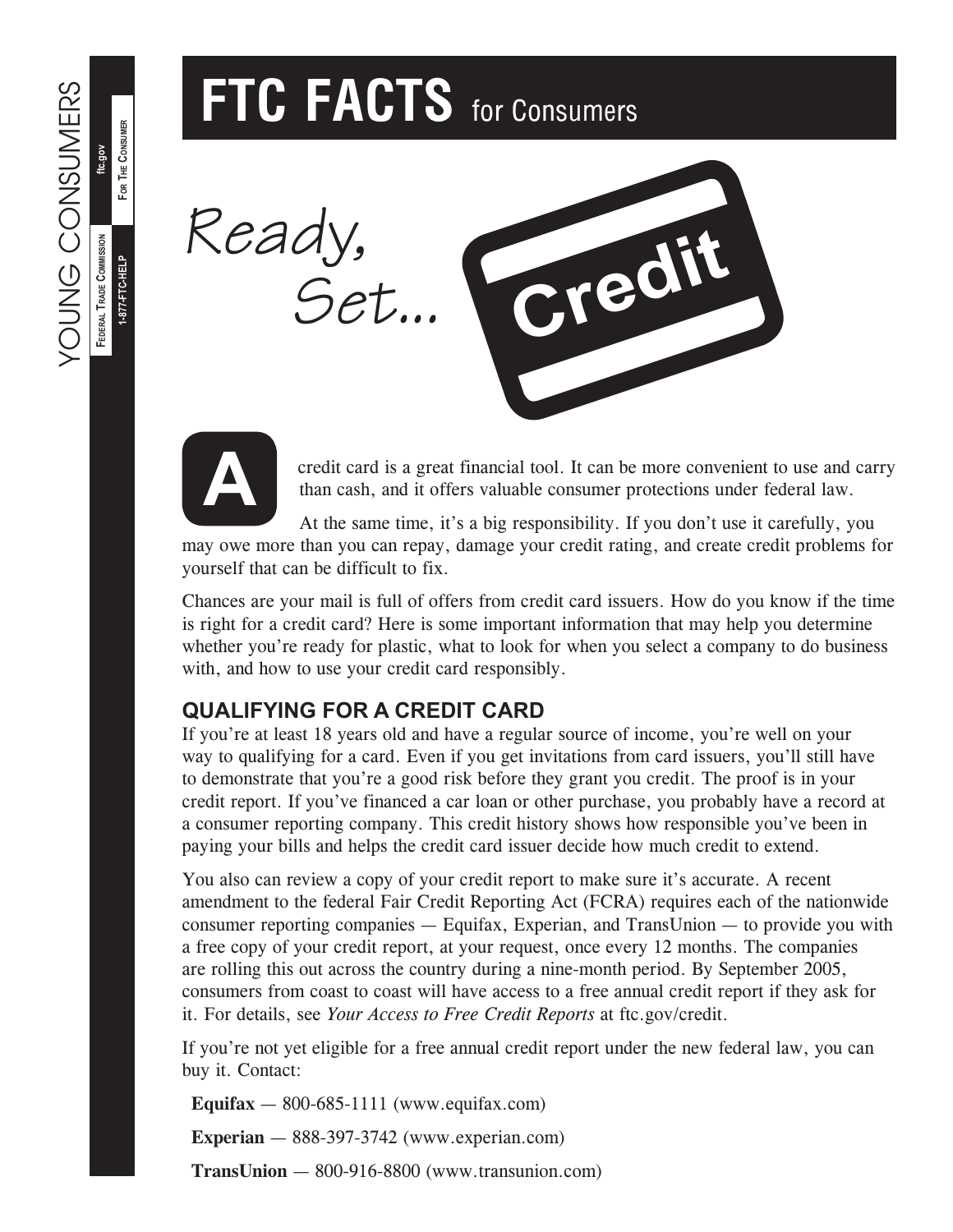For The Consumer

FOR THE CONSUMER

**1-877-FTC-HELP**

1-877-FTC-HELP

# **FTC FACTS** for Consumers





credit card is a great financial tool. It can be more convenient to use and carry than cash, and it offers valuable consumer protections under federal law.

At the same time, it's a big responsibility. If you don't use it carefully, you may owe more than you can repay, damage your credit rating, and create credit problems for yourself that can be difficult to fix.

Chances are your mail is full of offers from credit card issuers. How do you know if the time is right for a credit card? Here is some important information that may help you determine whether you're ready for plastic, what to look for when you select a company to do business with, and how to use your credit card responsibly.

# **QUALIFYING FOR A CREDIT CARD**

If you're at least 18 years old and have a regular source of income, you're well on your way to qualifying for a card. Even if you get invitations from card issuers, you'll still have to demonstrate that you're a good risk before they grant you credit. The proof is in your credit report. If you've financed a car loan or other purchase, you probably have a record at a consumer reporting company. This credit history shows how responsible you've been in paying your bills and helps the credit card issuer decide how much credit to extend.

You also can review a copy of your credit report to make sure it's accurate. A recent amendment to the federal Fair Credit Reporting Act (FCRA) requires each of the nationwide consumer reporting companies — Equifax, Experian, and TransUnion — to provide you with a free copy of your credit report, at your request, once every 12 months. The companies are rolling this out across the country during a nine-month period. By September 2005, consumers from coast to coast will have access to a free annual credit report if they ask for it. For details, see *Your Access to Free Credit Reports* at ftc.gov/credit.

If you're not yet eligible for a free annual credit report under the new federal law, you can buy it. Contact:

**Equifax**  $-$  800-685-1111 (www.equifax.com)

**Experian** — 888-397-3742 (www.experian.com)

**TransUnion** — 800-916-8800 (www.transunion.com)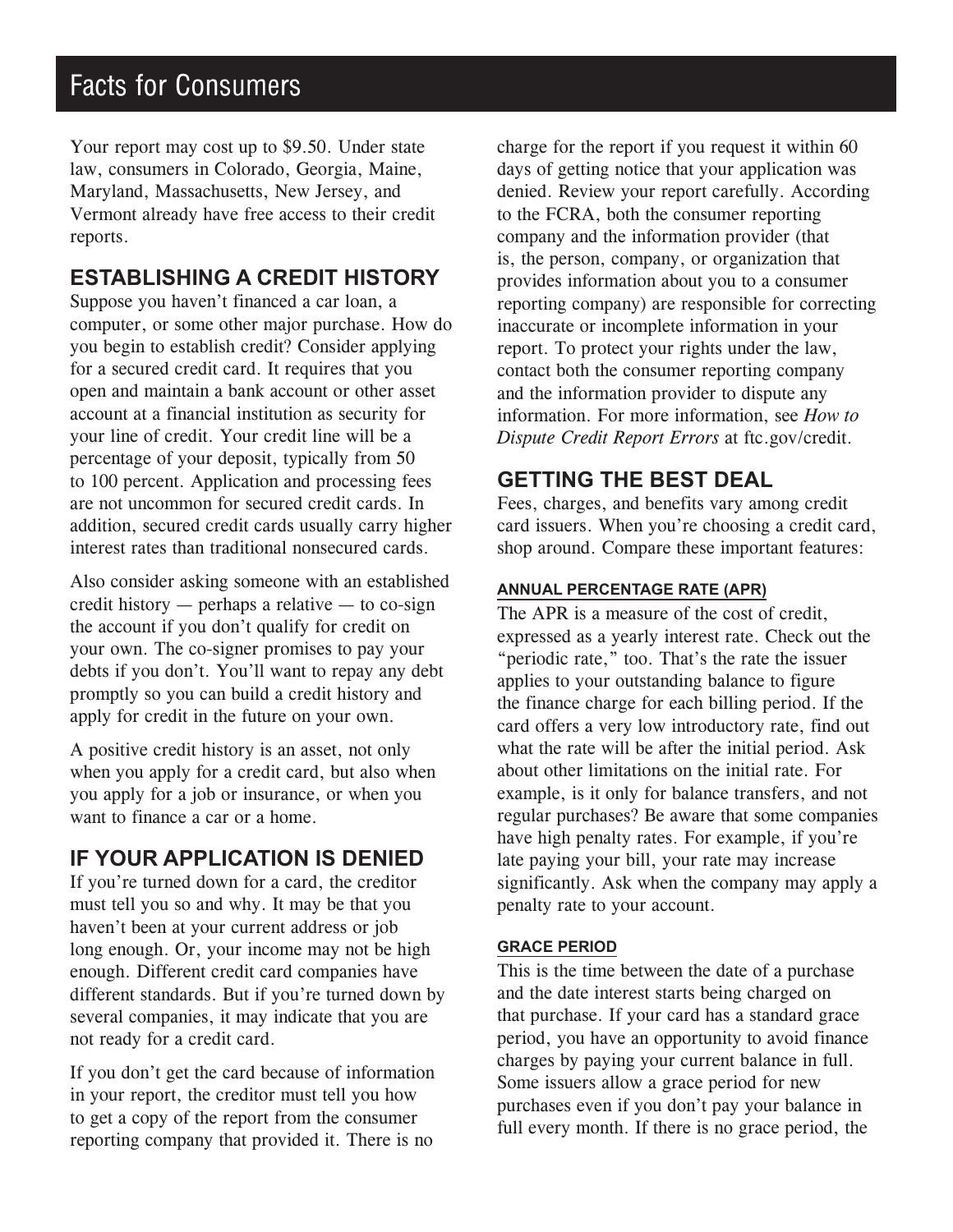# Facts for Consumers

Your report may cost up to \$9.50. Under state law, consumers in Colorado, Georgia, Maine, Maryland, Massachusetts, New Jersey, and Vermont already have free access to their credit reports.

# **ESTABLISHING A CREDIT HISTORY**

Suppose you haven't financed a car loan, a computer, or some other major purchase. How do you begin to establish credit? Consider applying for a secured credit card. It requires that you open and maintain a bank account or other asset account at a financial institution as security for your line of credit. Your credit line will be a percentage of your deposit, typically from 50 to 100 percent. Application and processing fees are not uncommon for secured credit cards. In addition, secured credit cards usually carry higher interest rates than traditional nonsecured cards.

Also consider asking someone with an established credit history — perhaps a relative — to co-sign the account if you don't qualify for credit on your own. The co-signer promises to pay your debts if you don't. You'll want to repay any debt promptly so you can build a credit history and apply for credit in the future on your own.

A positive credit history is an asset, not only when you apply for a credit card, but also when you apply for a job or insurance, or when you want to finance a car or a home.

# **IF YOUR APPLICATION IS DENIED**

If you're turned down for a card, the creditor must tell you so and why. It may be that you haven't been at your current address or job long enough. Or, your income may not be high enough. Different credit card companies have different standards. But if you're turned down by several companies, it may indicate that you are not ready for a credit card.

If you don't get the card because of information in your report, the creditor must tell you how to get a copy of the report from the consumer reporting company that provided it. There is no

charge for the report if you request it within 60 days of getting notice that your application was denied. Review your report carefully. According to the FCRA, both the consumer reporting company and the information provider (that is, the person, company, or organization that provides information about you to a consumer reporting company) are responsible for correcting inaccurate or incomplete information in your report. To protect your rights under the law, contact both the consumer reporting company and the information provider to dispute any information. For more information, see *How to Dispute Credit Report Errors* at ftc.gov/credit.

# **GETTING THE BEST DEAL**

Fees, charges, and benefits vary among credit card issuers. When you're choosing a credit card, shop around. Compare these important features:

## **ANNUAL PERCENTAGE RATE (APR)**

The APR is a measure of the cost of credit, expressed as a yearly interest rate. Check out the "periodic rate," too. That's the rate the issuer applies to your outstanding balance to figure the finance charge for each billing period. If the card offers a very low introductory rate, find out what the rate will be after the initial period. Ask about other limitations on the initial rate. For example, is it only for balance transfers, and not regular purchases? Be aware that some companies have high penalty rates. For example, if you're late paying your bill, your rate may increase significantly. Ask when the company may apply a penalty rate to your account.

### **GRACE PERIOD**

This is the time between the date of a purchase and the date interest starts being charged on that purchase. If your card has a standard grace period, you have an opportunity to avoid finance charges by paying your current balance in full. Some issuers allow a grace period for new purchases even if you don't pay your balance in full every month. If there is no grace period, the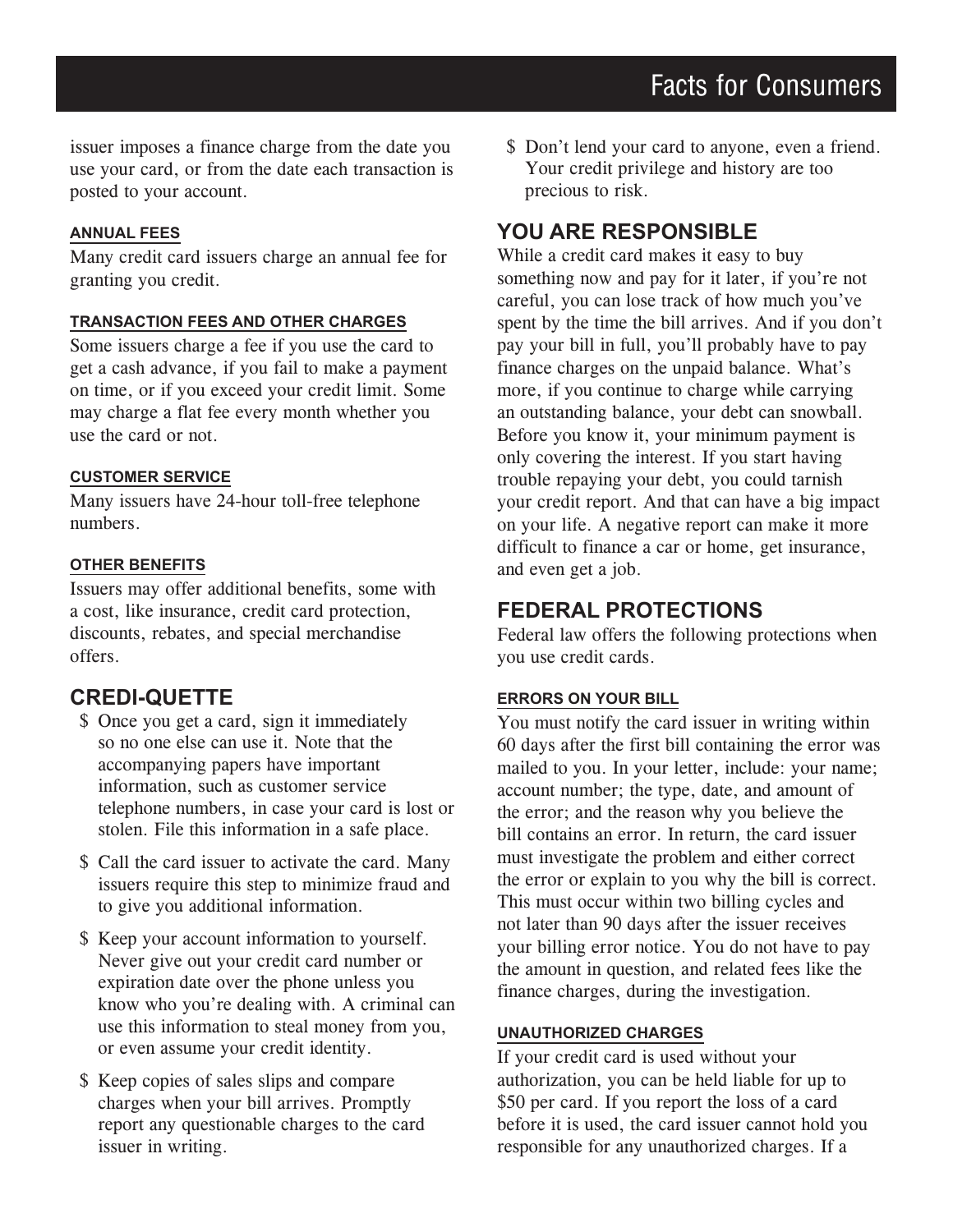issuer imposes a finance charge from the date you use your card, or from the date each transaction is posted to your account.

#### **ANNUAL FEES**

Many credit card issuers charge an annual fee for granting you credit.

#### **TRANSACTION FEES AND OTHER CHARGES**

Some issuers charge a fee if you use the card to get a cash advance, if you fail to make a payment on time, or if you exceed your credit limit. Some may charge a flat fee every month whether you use the card or not.

#### **CUSTOMER SERVICE**

Many issuers have 24-hour toll-free telephone numbers.

#### **OTHER BENEFITS**

Issuers may offer additional benefits, some with a cost, like insurance, credit card protection, discounts, rebates, and special merchandise offers.

## **CREDI-QUETTE**

- \$ Once you get a card, sign it immediately so no one else can use it. Note that the accompanying papers have important information, such as customer service telephone numbers, in case your card is lost or stolen. File this information in a safe place.
- \$ Call the card issuer to activate the card. Many issuers require this step to minimize fraud and to give you additional information.
- \$ Keep your account information to yourself. Never give out your credit card number or expiration date over the phone unless you know who you're dealing with. A criminal can use this information to steal money from you, or even assume your credit identity.
- \$ Keep copies of sales slips and compare charges when your bill arrives. Promptly report any questionable charges to the card issuer in writing.

\$ Don't lend your card to anyone, even a friend. Your credit privilege and history are too precious to risk.

# **YOU ARE RESPONSIBLE**

While a credit card makes it easy to buy something now and pay for it later, if you're not careful, you can lose track of how much you've spent by the time the bill arrives. And if you don't pay your bill in full, you'll probably have to pay finance charges on the unpaid balance. What's more, if you continue to charge while carrying an outstanding balance, your debt can snowball. Before you know it, your minimum payment is only covering the interest. If you start having trouble repaying your debt, you could tarnish your credit report. And that can have a big impact on your life. A negative report can make it more difficult to finance a car or home, get insurance, and even get a job.

# **FEDERAL PROTECTIONS**

Federal law offers the following protections when you use credit cards.

#### **ERRORS ON YOUR BILL**

You must notify the card issuer in writing within 60 days after the first bill containing the error was mailed to you. In your letter, include: your name; account number; the type, date, and amount of the error; and the reason why you believe the bill contains an error. In return, the card issuer must investigate the problem and either correct the error or explain to you why the bill is correct. This must occur within two billing cycles and not later than 90 days after the issuer receives your billing error notice. You do not have to pay the amount in question, and related fees like the finance charges, during the investigation.

#### **UNAUTHORIZED CHARGES**

If your credit card is used without your authorization, you can be held liable for up to \$50 per card. If you report the loss of a card before it is used, the card issuer cannot hold you responsible for any unauthorized charges. If a